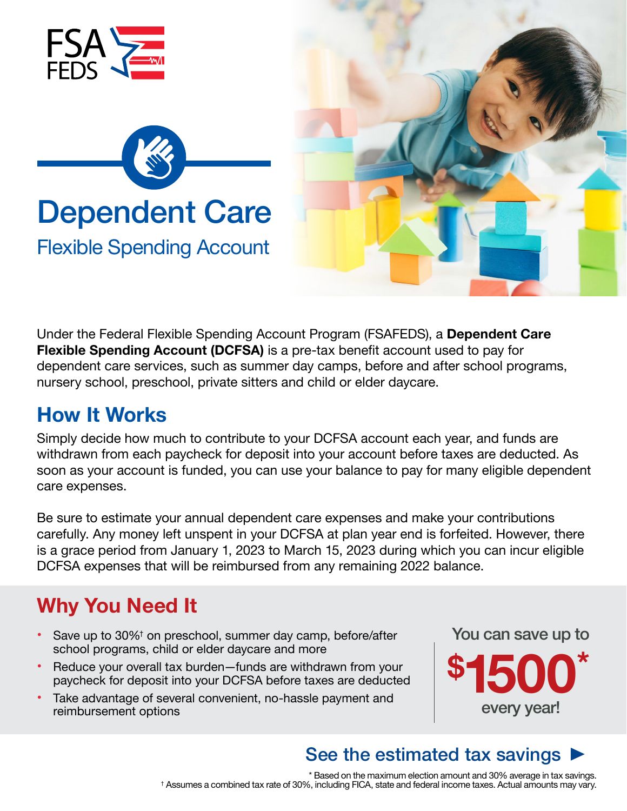

Under the Federal Flexible Spending Account Program (FSAFEDS), a **Dependent Care Flexible Spending Account (DCFSA)** is a pre-tax benefit account used to pay for dependent care services, such as summer day camps, before and after school programs, nursery school, preschool, private sitters and child or elder daycare.

## **How It Works**

Simply decide how much to contribute to your DCFSA account each year, and funds are withdrawn from each paycheck for deposit into your account before taxes are deducted. As soon as your account is funded, you can use your balance to pay for many eligible dependent care expenses.

Be sure to estimate your annual dependent care expenses and make your contributions carefully. Any money left unspent in your DCFSA at plan year end is forfeited. However, there is a grace period from January 1, 2023 to March 15, 2023 during which you can incur eligible DCFSA expenses that will be reimbursed from any remaining 2022 balance.

# **Why You Need It**

- Save up to 30%<sup>†</sup> on preschool, summer day camp, before/after school programs, child or elder daycare and more
- Reduce your overall tax burden—funds are withdrawn from your paycheck for deposit into your DCFSA before taxes are deducted
- Take advantage of several convenient, no-hassle payment and reimbursement options



every year!

#### See the estimated tax savings  $\blacktriangleright$